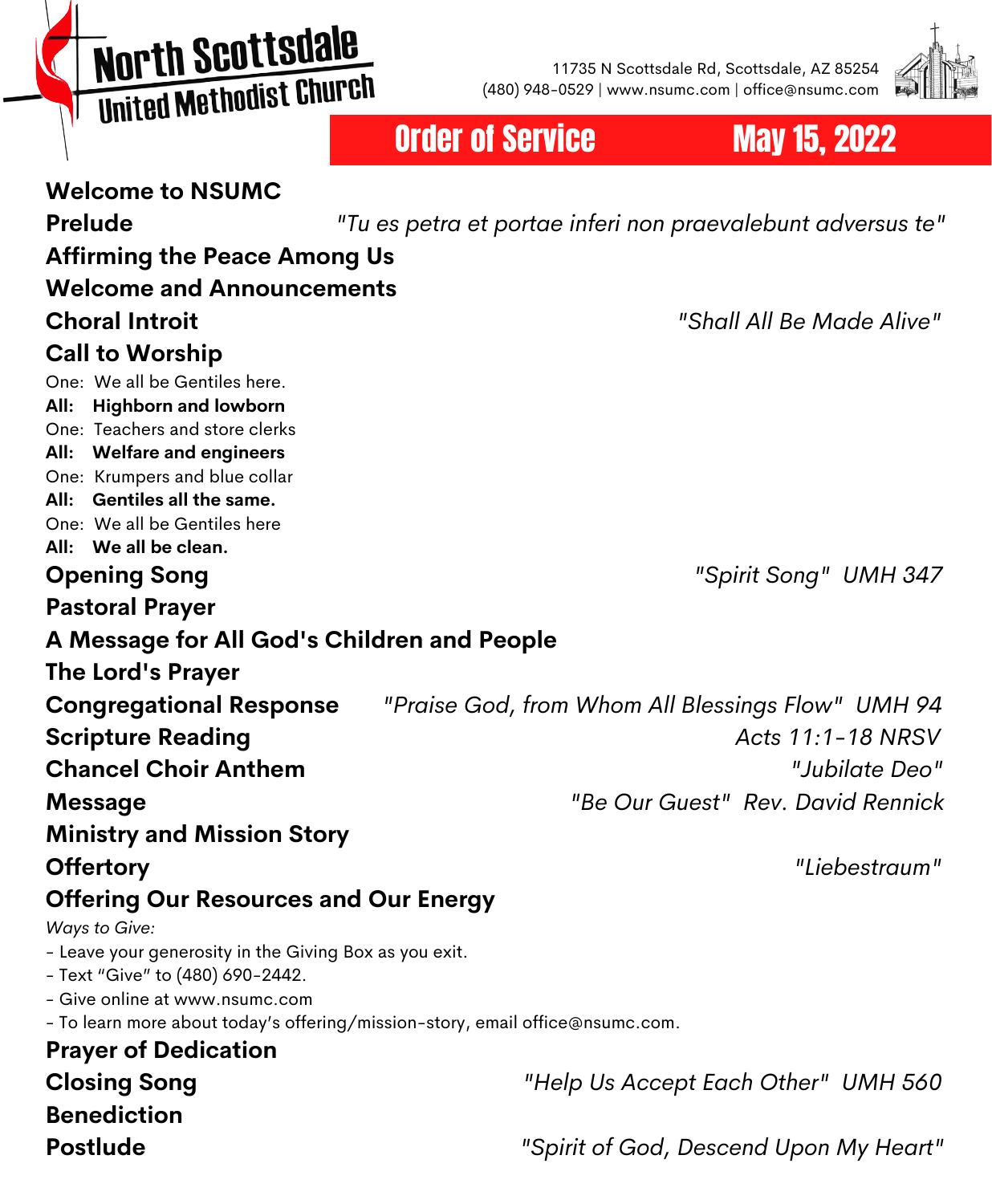# **North Scottsdale MOI'LII SCO CESCRIPT**

11735 N Scottsdale Rd, Scottsdale, AZ 85254 (480) 948-0529 | www.nsumc.com | office@nsumc.com



## Order of Service May 15, 2022

| <b>Welcome to NSUMC</b>                                                                    |                                                             |
|--------------------------------------------------------------------------------------------|-------------------------------------------------------------|
| <b>Prelude</b>                                                                             | "Tu es petra et portae inferi non praevalebunt adversus te" |
| <b>Affirming the Peace Among Us</b>                                                        |                                                             |
| <b>Welcome and Announcements</b>                                                           |                                                             |
| <b>Choral Introit</b>                                                                      | "Shall All Be Made Alive"                                   |
| <b>Call to Worship</b>                                                                     |                                                             |
| One: We all be Gentiles here.                                                              |                                                             |
| All: Highborn and lowborn                                                                  |                                                             |
| One: Teachers and store clerks<br>All: Welfare and engineers                               |                                                             |
| One: Krumpers and blue collar                                                              |                                                             |
| All: Gentiles all the same.                                                                |                                                             |
| One: We all be Gentiles here                                                               |                                                             |
| All: We all be clean.                                                                      |                                                             |
| <b>Opening Song</b>                                                                        | "Spirit Song" UMH 347                                       |
| <b>Pastoral Prayer</b>                                                                     |                                                             |
| A Message for All God's Children and People                                                |                                                             |
| The Lord's Prayer                                                                          |                                                             |
| <b>Congregational Response</b>                                                             | "Praise God, from Whom All Blessings Flow" UMH 94           |
| <b>Scripture Reading</b>                                                                   | Acts 11:1-18 NRSV                                           |
| <b>Chancel Choir Anthem</b>                                                                | "Jubilate Deo"                                              |
| <b>Message</b>                                                                             | "Be Our Guest" Rev. David Rennick                           |
| <b>Ministry and Mission Story</b>                                                          |                                                             |
| <b>Offertory</b>                                                                           | "Liebestraum"                                               |
| <b>Offering Our Resources and Our Energy</b>                                               |                                                             |
| Ways to Give:                                                                              |                                                             |
| - Leave your generosity in the Giving Box as you exit.<br>- Text "Give" to (480) 690-2442. |                                                             |
| - Give online at www.nsumc.com                                                             |                                                             |
| - To learn more about today's offering/mission-story, email office@nsumc.com.              |                                                             |
| <b>Prayer of Dedication</b>                                                                |                                                             |
| <b>Closing Song</b>                                                                        | "Help Us Accept Each Other" UMH 560                         |
| <b>Benediction</b>                                                                         |                                                             |
| <b>Postlude</b>                                                                            | "Spirit of God, Descend Upon My Heart"                      |